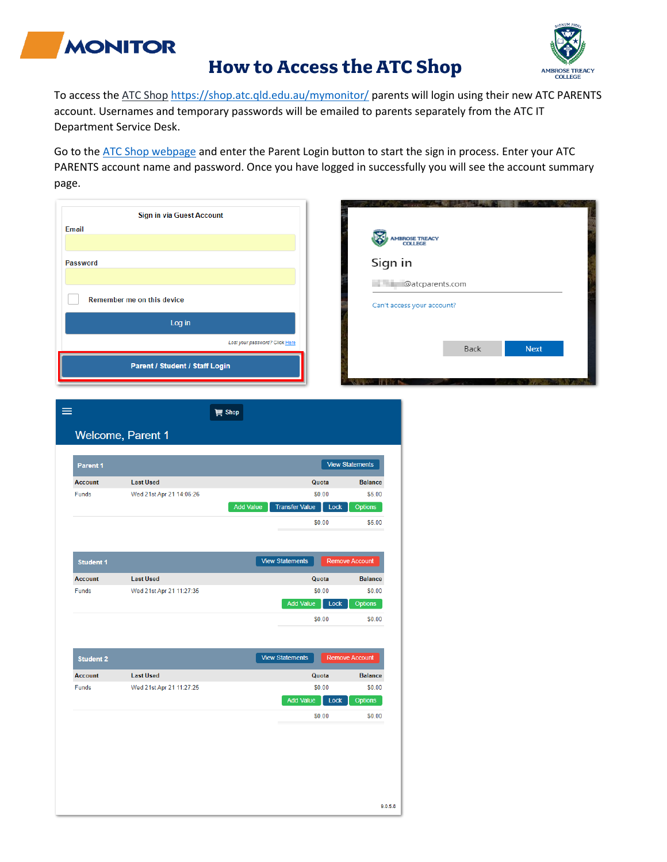

## **How to Access the ATC Shop**



To access the [ATC Shop](https://shop.atc.qld.edu.au/mymonitor/) <https://shop.atc.qld.edu.au/mymonitor/> parents will login using their new ATC PARENTS account. Usernames and temporary passwords will be emailed to parents separately from the ATC IT Department Service Desk.

Go to the [ATC Shop webpage](https://shop.atc.qld.edu.au/mymonitor/) and enter the Parent Login button to start the sign in process. Enter your ATC PARENTS account name and password. Once you have logged in successfully you will see the account summary page.

| <b>Email</b><br><b>Password</b> | Sign in via Guest Account<br>Remember me on this device<br>Log in<br>Parent / Student / Staff Login | Lost your password? Click Here                              | Sign in<br>15.7 May    | AMBROSE TREACY<br>COLLEGE<br>@atcparents.com<br>Can't access your account? | Back | <b>Next</b> |  |
|---------------------------------|-----------------------------------------------------------------------------------------------------|-------------------------------------------------------------|------------------------|----------------------------------------------------------------------------|------|-------------|--|
| $\equiv$                        | Welcome, Parent 1                                                                                   | <b>盲 Shop</b>                                               |                        |                                                                            |      |             |  |
| Parent 1                        |                                                                                                     |                                                             | <b>View Statements</b> |                                                                            |      |             |  |
| <b>Account</b>                  | <b>Last Used</b>                                                                                    | Quota                                                       | <b>Balance</b>         |                                                                            |      |             |  |
| Funds                           | Wed 21st Apr 21 14:06:26                                                                            | \$0.00<br><b>Transfer Value</b><br><b>Add Value</b><br>Lock | \$5.00<br>Options      |                                                                            |      |             |  |
|                                 |                                                                                                     | \$0.00                                                      | \$5.00                 |                                                                            |      |             |  |
| <b>Student 1</b>                |                                                                                                     | <b>View Statements</b>                                      | <b>Remove Account</b>  |                                                                            |      |             |  |
| <b>Account</b>                  | <b>Last Used</b>                                                                                    | Quota                                                       | <b>Balance</b>         |                                                                            |      |             |  |
| Funds                           | Wed 21st Apr 21 11:27:35                                                                            | \$0.00                                                      | \$0.00                 |                                                                            |      |             |  |
|                                 |                                                                                                     | <b>Add Value</b><br>Lock                                    | <b>Options</b>         |                                                                            |      |             |  |
|                                 |                                                                                                     | \$0.00                                                      | \$0.00                 |                                                                            |      |             |  |
| <b>Student 2</b>                |                                                                                                     | <b>View Statements</b>                                      | <b>Remove Account</b>  |                                                                            |      |             |  |
| <b>Account</b>                  | <b>Last Used</b>                                                                                    | Quota                                                       | <b>Balance</b>         |                                                                            |      |             |  |
| Funds                           | Wed 21st Apr 21 11:27:25                                                                            | \$0.00                                                      | \$0.00                 |                                                                            |      |             |  |
|                                 |                                                                                                     | Add Value<br>Lock                                           | Options                |                                                                            |      |             |  |
|                                 |                                                                                                     | \$0.00                                                      | \$0.00                 |                                                                            |      |             |  |
|                                 |                                                                                                     |                                                             | 9.0.5.8                |                                                                            |      |             |  |